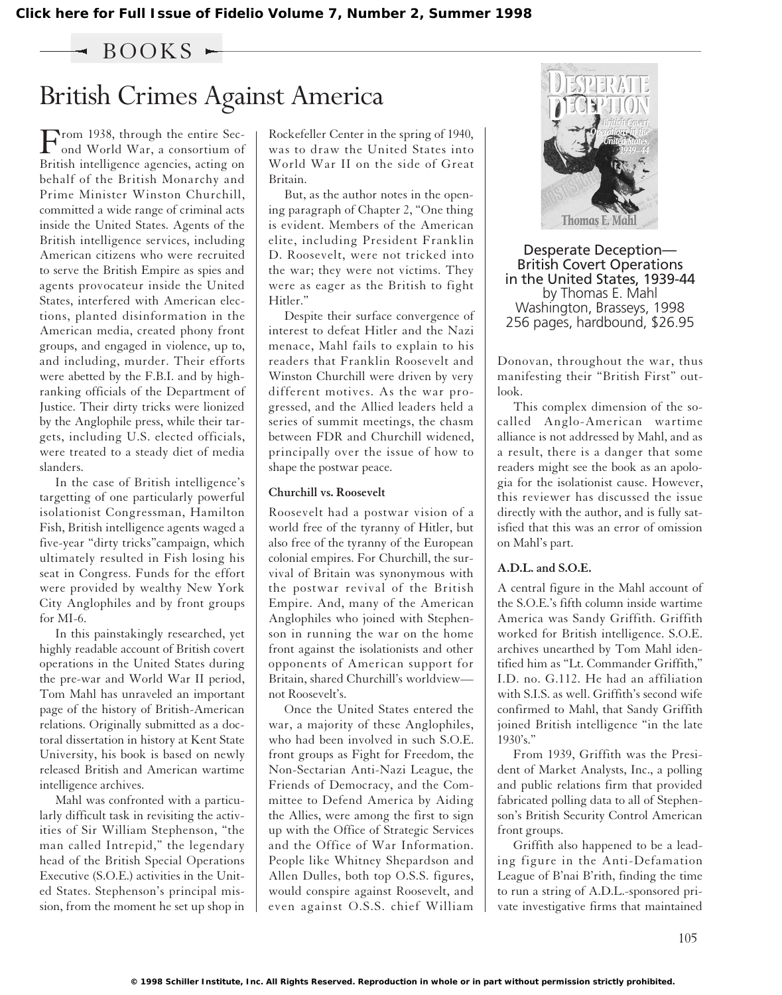$-$  BOOKS  $\sim$ 

## British Crimes Against America

From 1938, through the entire Sec-<br>ond World War, a consortium of British intelligence agencies, acting on behalf of the British Monarchy and Prime Minister Winston Churchill, committed a wide range of criminal acts inside the United States. Agents of the British intelligence services, including American citizens who were recruited to serve the British Empire as spies and agents provocateur inside the United States, interfered with American elections, planted disinformation in the American media, created phony front groups, and engaged in violence, up to, and including, murder. Their efforts were abetted by the F.B.I. and by highranking officials of the Department of Justice. Their dirty tricks were lionized by the Anglophile press, while their targets, including U.S. elected officials, were treated to a steady diet of media slanders.

In the case of British intelligence's targetting of one particularly powerful isolationist Congressman, Hamilton Fish, British intelligence agents waged a five-year "dirty tricks"campaign, which ultimately resulted in Fish losing his seat in Congress. Funds for the effort were provided by wealthy New York City Anglophiles and by front groups for MI-6.

In this painstakingly researched, yet highly readable account of British covert operations in the United States during the pre-war and World War II period, Tom Mahl has unraveled an important page of the history of British-American relations. Originally submitted as a doctoral dissertation in history at Kent State University, his book is based on newly released British and American wartime intelligence archives.

Mahl was confronted with a particularly difficult task in revisiting the activities of Sir William Stephenson, "the man called Intrepid," the legendary head of the British Special Operations Executive (S.O.E.) activities in the United States. Stephenson's principal mission, from the moment he set up shop in Rockefeller Center in the spring of 1940, was to draw the United States into World War II on the side of Great Britain.

But, as the author notes in the opening paragraph of Chapter 2, "One thing is evident. Members of the American elite, including President Franklin D. Roosevelt, were not tricked into the war; they were not victims. They were as eager as the British to fight Hitler."

Despite their surface convergence of interest to defeat Hitler and the Nazi menace, Mahl fails to explain to his readers that Franklin Roosevelt and Winston Churchill were driven by very different motives. As the war progressed, and the Allied leaders held a series of summit meetings, the chasm between FDR and Churchill widened, principally over the issue of how to shape the postwar peace.

#### **Churchill vs. Roosevelt**

Roosevelt had a postwar vision of a world free of the tyranny of Hitler, but also free of the tyranny of the European colonial empires. For Churchill, the survival of Britain was synonymous with the postwar revival of the British Empire. And, many of the American Anglophiles who joined with Stephenson in running the war on the home front against the isolationists and other opponents of American support for Britain, shared Churchill's worldview not Roosevelt's.

Once the United States entered the war, a majority of these Anglophiles, who had been involved in such S.O.E. front groups as Fight for Freedom, the Non-Sectarian Anti-Nazi League, the Friends of Democracy, and the Committee to Defend America by Aiding the Allies, were among the first to sign up with the Office of Strategic Services and the Office of War Information. People like Whitney Shepardson and Allen Dulles, both top O.S.S. figures, would conspire against Roosevelt, and even against O.S.S. chief William



Desperate Deception— British Covert Operations in the United States, 1939-44 by Thomas E. Mahl Washington, Brasseys, 1998 256 pages, hardbound, \$26.95

Donovan, throughout the war, thus manifesting their "British First" outlook.

This complex dimension of the socalled Anglo-American wartime alliance is not addressed by Mahl, and as a result, there is a danger that some readers might see the book as an apologia for the isolationist cause. However, this reviewer has discussed the issue directly with the author, and is fully satisfied that this was an error of omission on Mahl's part.

#### **A.D.L. and S.O.E.**

A central figure in the Mahl account of the S.O.E.'s fifth column inside wartime America was Sandy Griffith. Griffith worked for British intelligence. S.O.E. archives unearthed by Tom Mahl identified him as "Lt. Commander Griffith," I.D. no. G.112. He had an affiliation with S.I.S. as well. Griffith's second wife confirmed to Mahl, that Sandy Griffith joined British intelligence "in the late  $1930's."$ 

From 1939, Griffith was the President of Market Analysts, Inc., a polling and public relations firm that provided fabricated polling data to all of Stephenson's British Security Control American front groups.

Griffith also happened to be a leading figure in the Anti-Defamation League of B'nai B'rith, finding the time to run a string of A.D.L.-sponsored private investigative firms that maintained